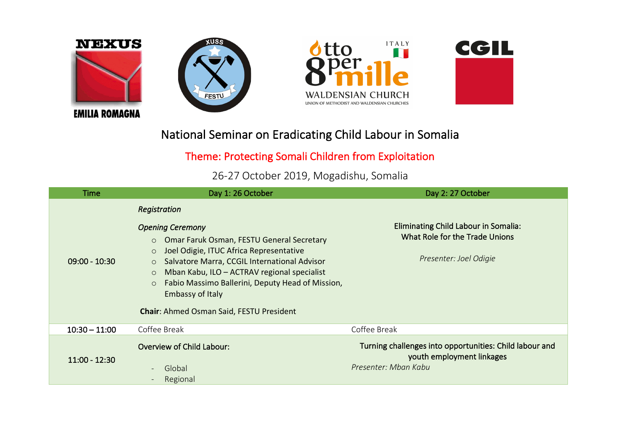

## National Seminar on Eradicating Child Labour in Somalia

## Theme: Protecting Somali Children from Exploitation

26-27 October 2019, Mogadishu, Somalia

| <b>Time</b>     | Day 1: 26 October                                                                                                                                                                                                                                                                                                                                                                                              | Day 2: 27 October                                                                                            |
|-----------------|----------------------------------------------------------------------------------------------------------------------------------------------------------------------------------------------------------------------------------------------------------------------------------------------------------------------------------------------------------------------------------------------------------------|--------------------------------------------------------------------------------------------------------------|
| $09:00 - 10:30$ | Registration<br><b>Opening Ceremony</b><br>o Omar Faruk Osman, FESTU General Secretary<br>Joel Odigie, ITUC Africa Representative<br>$\circ$<br>Salvatore Marra, CCGIL International Advisor<br>$\circ$<br>Mban Kabu, ILO - ACTRAV regional specialist<br>$\circ$<br>Fabio Massimo Ballerini, Deputy Head of Mission,<br>$\circ$<br><b>Embassy of Italy</b><br><b>Chair: Ahmed Osman Said, FESTU President</b> | Eliminating Child Labour in Somalia:<br>What Role for the Trade Unions<br>Presenter: Joel Odigie             |
| $10:30 - 11:00$ | Coffee Break                                                                                                                                                                                                                                                                                                                                                                                                   | Coffee Break                                                                                                 |
| $11:00 - 12:30$ | <b>Overview of Child Labour:</b><br>Global<br>Regional                                                                                                                                                                                                                                                                                                                                                         | Turning challenges into opportunities: Child labour and<br>youth employment linkages<br>Presenter: Mban Kabu |